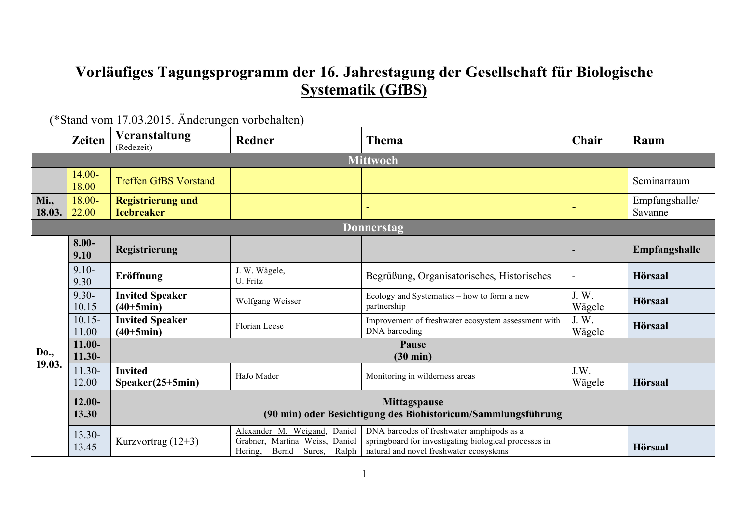## **Vorläufiges Tagungsprogramm der 16. Jahrestagung der Gesellschaft für Biologische Systematik (GfBS)**

|                       | <b>Zeiten</b>         | Veranstaltung<br>(Redezeit)                                                          | <b>Redner</b>                                                                                         | Thema                                                                                                                                         | Chair          | Raum                      |  |  |
|-----------------------|-----------------------|--------------------------------------------------------------------------------------|-------------------------------------------------------------------------------------------------------|-----------------------------------------------------------------------------------------------------------------------------------------------|----------------|---------------------------|--|--|
|                       | <b>Mittwoch</b>       |                                                                                      |                                                                                                       |                                                                                                                                               |                |                           |  |  |
|                       | 14.00-<br>18.00       | <b>Treffen GfBS Vorstand</b>                                                         |                                                                                                       |                                                                                                                                               |                | Seminarraum               |  |  |
| <b>Mi.,</b><br>18.03. | 18.00-<br>22.00       | <b>Registrierung und</b><br><b>Icebreaker</b>                                        |                                                                                                       |                                                                                                                                               |                | Empfangshalle/<br>Savanne |  |  |
|                       |                       |                                                                                      |                                                                                                       | <b>Donnerstag</b>                                                                                                                             |                |                           |  |  |
|                       | $8.00 -$<br>9.10      | Registrierung                                                                        |                                                                                                       |                                                                                                                                               |                | Empfangshalle             |  |  |
|                       | $9.10 -$<br>9.30      | Eröffnung                                                                            | J. W. Wägele,<br>U. Fritz                                                                             | Begrüßung, Organisatorisches, Historisches                                                                                                    |                | Hörsaal                   |  |  |
|                       | $9.30 -$<br>10.15     | <b>Invited Speaker</b><br>$(40+5min)$                                                | Wolfgang Weisser                                                                                      | Ecology and Systematics – how to form a new<br>partnership                                                                                    | J.W.<br>Wägele | Hörsaal                   |  |  |
|                       | $10.15 -$<br>11.00    | <b>Invited Speaker</b><br>$(40+5min)$                                                | Florian Leese                                                                                         | Improvement of freshwater ecosystem assessment with<br>DNA barcoding                                                                          | J.W.<br>Wägele | Hörsaal                   |  |  |
| <b>Do.,</b>           | $11.00 -$<br>$11.30-$ | Pause<br>$(30 \text{ min})$                                                          |                                                                                                       |                                                                                                                                               |                |                           |  |  |
| 19.03.                | 11.30-<br>12.00       | <b>Invited</b><br>$Speaker(25+5min)$                                                 | HaJo Mader                                                                                            | Monitoring in wilderness areas                                                                                                                | J.W.<br>Wägele | Hörsaal                   |  |  |
|                       | $12.00 -$<br>13.30    | <b>Mittagspause</b><br>(90 min) oder Besichtigung des Biohistoricum/Sammlungsführung |                                                                                                       |                                                                                                                                               |                |                           |  |  |
|                       | 13.30-<br>13.45       | Kurzvortrag (12+3)                                                                   | Alexander M. Weigand,<br>Daniel<br>Grabner, Martina Weiss, Daniel<br>Bernd Sures,<br>Hering,<br>Ralph | DNA barcodes of freshwater amphipods as a<br>springboard for investigating biological processes in<br>natural and novel freshwater ecosystems |                | <b>Hörsaal</b>            |  |  |

(\*Stand vom 17.03.2015. Änderungen vorbehalten)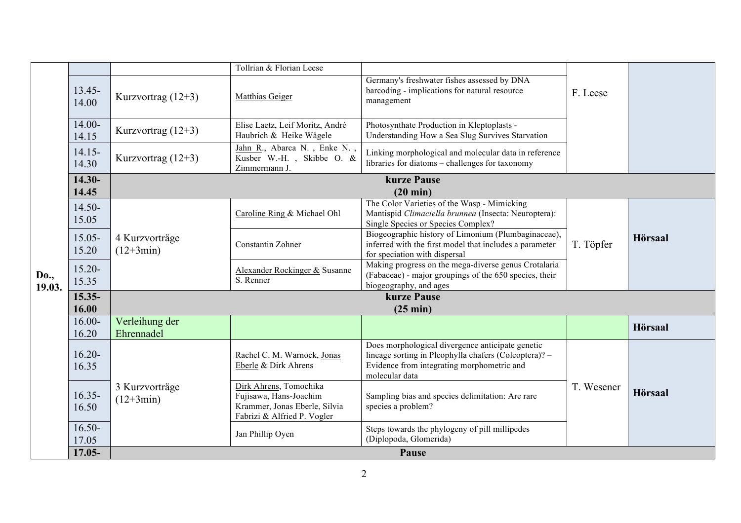|                |                    |                               | Tollrian & Florian Leese                                                                                         |                                                                                                                                                                           |            |                |  |  |
|----------------|--------------------|-------------------------------|------------------------------------------------------------------------------------------------------------------|---------------------------------------------------------------------------------------------------------------------------------------------------------------------------|------------|----------------|--|--|
|                | $13.45 -$<br>14.00 | Kurzvortrag $(12+3)$          | Matthias Geiger                                                                                                  | Germany's freshwater fishes assessed by DNA<br>barcoding - implications for natural resource<br>management                                                                | F. Leese   |                |  |  |
|                | $14.00 -$<br>14.15 | Kurzvortrag $(12+3)$          | Elise Laetz, Leif Moritz, André<br>Haubrich & Heike Wägele                                                       | Photosynthate Production in Kleptoplasts -<br>Understanding How a Sea Slug Survives Starvation                                                                            |            |                |  |  |
|                | $14.15 -$<br>14.30 | Kurzvortrag $(12+3)$          | Jahn R., Abarca N., Enke N.,<br>Kusber W.-H., Skibbe O. &<br>Zimmermann J.                                       | Linking morphological and molecular data in reference<br>libraries for diatoms – challenges for taxonomy                                                                  |            |                |  |  |
|                | 14.30-             |                               |                                                                                                                  | kurze Pause                                                                                                                                                               |            |                |  |  |
|                | 14.45              |                               |                                                                                                                  | $(20 \text{ min})$                                                                                                                                                        |            |                |  |  |
|                | $14.50-$<br>15.05  |                               | Caroline Ring & Michael Ohl                                                                                      | The Color Varieties of the Wasp - Mimicking<br>Mantispid Climaciella brunnea (Insecta: Neuroptera):<br>Single Species or Species Complex?                                 |            |                |  |  |
|                | $15.05 -$<br>15.20 | 4 Kurzvorträge<br>$(12+3min)$ | Constantin Zohner                                                                                                | Biogeographic history of Limonium (Plumbaginaceae),<br>inferred with the first model that includes a parameter<br>for speciation with dispersal                           | T. Töpfer  | <b>Hörsaal</b> |  |  |
| Do.,<br>19.03. | $15.20 -$<br>15.35 |                               | Alexander Rockinger & Susanne<br>S. Renner                                                                       | Making progress on the mega-diverse genus Crotalaria<br>(Fabaceae) - major groupings of the 650 species, their<br>biogeography, and ages                                  |            |                |  |  |
|                | 15.35-             |                               |                                                                                                                  | kurze Pause                                                                                                                                                               |            |                |  |  |
|                | 16.00              |                               |                                                                                                                  |                                                                                                                                                                           |            |                |  |  |
|                | $16.00 -$<br>16.20 | Verleihung der<br>Ehrennadel  |                                                                                                                  |                                                                                                                                                                           |            | <b>Hörsaal</b> |  |  |
|                | $16.20 -$<br>16.35 |                               | Rachel C. M. Warnock, Jonas<br>Eberle & Dirk Ahrens                                                              | Does morphological divergence anticipate genetic<br>lineage sorting in Pleophylla chafers (Coleoptera)? -<br>Evidence from integrating morphometric and<br>molecular data |            |                |  |  |
|                | $16.35 -$<br>16.50 | 3 Kurzvorträge<br>$(12+3min)$ | Dirk Ahrens, Tomochika<br>Fujisawa, Hans-Joachim<br>Krammer, Jonas Eberle, Silvia<br>Fabrizi & Alfried P. Vogler | Sampling bias and species delimitation: Are rare<br>species a problem?                                                                                                    | T. Wesener | <b>Hörsaal</b> |  |  |
|                | $16.50 -$<br>17.05 |                               | Jan Phillip Oyen                                                                                                 | Steps towards the phylogeny of pill millipedes<br>(Diplopoda, Glomerida)                                                                                                  |            |                |  |  |
|                | 17.05-             | Pause                         |                                                                                                                  |                                                                                                                                                                           |            |                |  |  |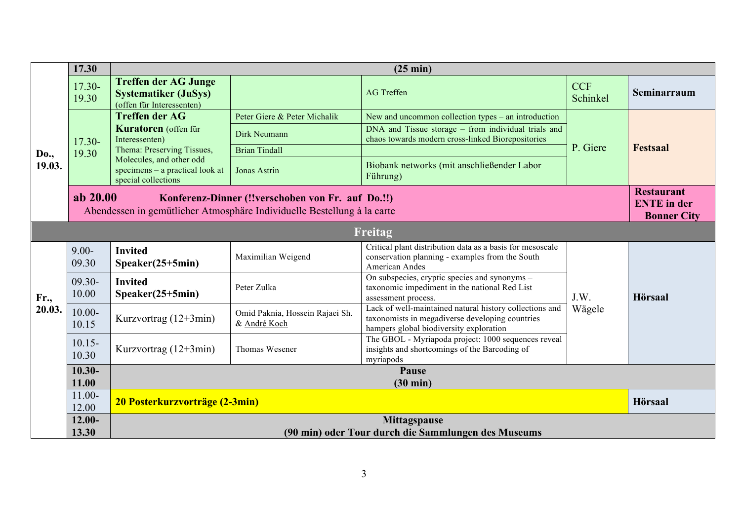|             | 17.30              | $(25 \text{ min})$                                                                      |                                                                                                                              |                                                                                                                                                       |                        |                                                               |  |  |
|-------------|--------------------|-----------------------------------------------------------------------------------------|------------------------------------------------------------------------------------------------------------------------------|-------------------------------------------------------------------------------------------------------------------------------------------------------|------------------------|---------------------------------------------------------------|--|--|
|             | 17.30-<br>19.30    | <b>Treffen der AG Junge</b><br><b>Systematiker (JuSys)</b><br>(offen für Interessenten) |                                                                                                                              | <b>AG</b> Treffen                                                                                                                                     | <b>CCF</b><br>Schinkel | Seminarraum                                                   |  |  |
|             | 17.30-             | <b>Treffen der AG</b><br><b>Kuratoren</b> (offen für<br>Interessenten)                  | Peter Giere & Peter Michalik                                                                                                 | New and uncommon collection types – an introduction                                                                                                   | P. Giere               |                                                               |  |  |
|             |                    |                                                                                         | Dirk Neumann                                                                                                                 | DNA and Tissue storage – from individual trials and<br>chaos towards modern cross-linked Biorepositories                                              |                        | <b>Festsaal</b>                                               |  |  |
| Do.,        | 19.30              | Thema: Preserving Tissues,                                                              | <b>Brian Tindall</b>                                                                                                         |                                                                                                                                                       |                        |                                                               |  |  |
| 19.03.      |                    | Molecules, and other odd<br>specimens - a practical look at<br>special collections      | Jonas Astrin                                                                                                                 | Biobank networks (mit anschließender Labor<br>Führung)                                                                                                |                        |                                                               |  |  |
|             | ab 20.00           |                                                                                         | Konferenz-Dinner (!!verschoben von Fr. auf Do.!!)<br>Abendessen in gemütlicher Atmosphäre Individuelle Bestellung à la carte |                                                                                                                                                       |                        | <b>Restaurant</b><br><b>ENTE</b> in der<br><b>Bonner City</b> |  |  |
|             | Freitag            |                                                                                         |                                                                                                                              |                                                                                                                                                       |                        |                                                               |  |  |
|             | $9.00 -$<br>09.30  | <b>Invited</b><br>$Speaker(25+5min)$                                                    | Maximilian Weigend                                                                                                           | Critical plant distribution data as a basis for mesoscale<br>conservation planning - examples from the South<br>American Andes                        |                        |                                                               |  |  |
| <b>Fr.,</b> | $09.30 -$<br>10.00 | <b>Invited</b><br>$Speaker(25+5min)$                                                    | Peter Zulka                                                                                                                  | On subspecies, cryptic species and synonyms –<br>taxonomic impediment in the national Red List<br>assessment process.                                 | J.W.                   | Hörsaal                                                       |  |  |
| 20.03.      | $10.00 -$<br>10.15 | Kurzvortrag $(12+3min)$                                                                 | Omid Paknia, Hossein Rajaei Sh.<br>& André Koch                                                                              | Lack of well-maintained natural history collections and<br>taxonomists in megadiverse developing countries<br>hampers global biodiversity exploration | Wägele                 |                                                               |  |  |
|             | $10.15 -$<br>10.30 | Kurzvortrag $(12+3min)$                                                                 | Thomas Wesener                                                                                                               | The GBOL - Myriapoda project: 1000 sequences reveal<br>insights and shortcomings of the Barcoding of<br>myriapods                                     |                        |                                                               |  |  |
|             | $10.30 -$          | Pause                                                                                   |                                                                                                                              |                                                                                                                                                       |                        |                                                               |  |  |
|             | 11.00              |                                                                                         |                                                                                                                              | $(30 \text{ min})$                                                                                                                                    |                        |                                                               |  |  |
|             | $11.00 -$<br>12.00 | 20 Posterkurzvorträge (2-3min)                                                          |                                                                                                                              |                                                                                                                                                       |                        | Hörsaal                                                       |  |  |
|             | $12.00 -$          | <b>Mittagspause</b>                                                                     |                                                                                                                              |                                                                                                                                                       |                        |                                                               |  |  |
|             | 13.30              | (90 min) oder Tour durch die Sammlungen des Museums                                     |                                                                                                                              |                                                                                                                                                       |                        |                                                               |  |  |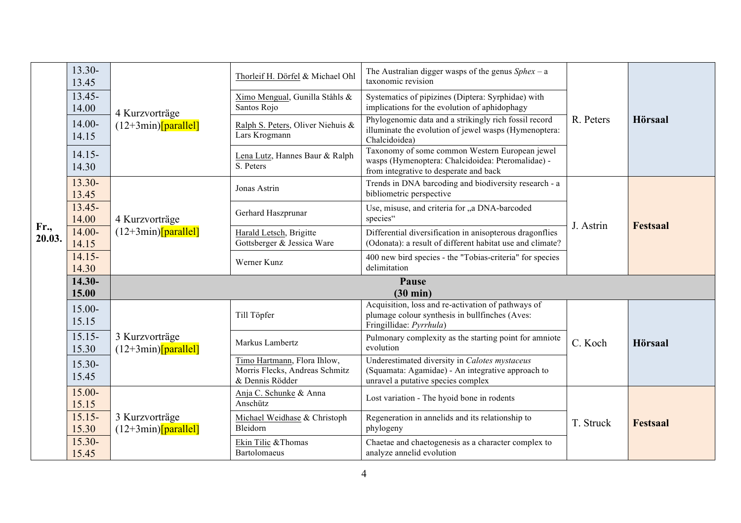|                       | $13.30-$<br>13.45<br>$13.45 -$<br>14.00 | 4 Kurzvorträge<br>$(12+3min)$ [parallel] | Thorleif H. Dörfel & Michael Ohl<br>Ximo Mengual, Gunilla Ståhls &<br>Santos Rojo | The Australian digger wasps of the genus $Sphex - a$<br>taxonomic revision<br>Systematics of pipizines (Diptera: Syrphidae) with<br>implications for the evolution of aphidophagy | R. Peters | <b>Hörsaal</b>  |
|-----------------------|-----------------------------------------|------------------------------------------|-----------------------------------------------------------------------------------|-----------------------------------------------------------------------------------------------------------------------------------------------------------------------------------|-----------|-----------------|
|                       | 14.00-<br>14.15                         |                                          | Ralph S. Peters, Oliver Niehuis &<br>Lars Krogmann                                | Phylogenomic data and a strikingly rich fossil record<br>illuminate the evolution of jewel wasps (Hymenoptera:<br>Chalcidoidea)                                                   |           |                 |
|                       | $14.15 -$<br>14.30                      |                                          | Lena Lutz, Hannes Baur & Ralph<br>S. Peters                                       | Taxonomy of some common Western European jewel<br>wasps (Hymenoptera: Chalcidoidea: Pteromalidae) -<br>from integrative to desperate and back                                     |           |                 |
|                       | $13.30-$<br>13.45                       |                                          | Jonas Astrin                                                                      | Trends in DNA barcoding and biodiversity research - a<br>bibliometric perspective                                                                                                 |           |                 |
|                       | $13.45 -$<br>14.00                      | 4 Kurzvorträge<br>$(12+3min)$ [parallel] | Gerhard Haszprunar                                                                | Use, misuse, and criteria for "a DNA-barcoded<br>species"                                                                                                                         | J. Astrin | <b>Festsaal</b> |
| <b>Fr.,</b><br>20.03. | $14.00 -$<br>14.15                      |                                          | Harald Letsch, Brigitte<br>Gottsberger & Jessica Ware                             | Differential diversification in anisopterous dragonflies<br>(Odonata): a result of different habitat use and climate?                                                             |           |                 |
|                       | $14.15 -$<br>14.30                      |                                          | Werner Kunz                                                                       | 400 new bird species - the "Tobias-criteria" for species<br>delimitation                                                                                                          |           |                 |
|                       | 14.30-<br>15.00                         | Pause<br>$(30 \text{ min})$              |                                                                                   |                                                                                                                                                                                   |           |                 |
|                       | $15.00 -$<br>15.15                      |                                          | Till Töpfer                                                                       | Acquisition, loss and re-activation of pathways of<br>plumage colour synthesis in bullfinches (Aves:<br>Fringillidae: Pyrrhula)                                                   |           |                 |
|                       | $15.15 -$<br>15.30                      | 3 Kurzvorträge<br>$(12+3min)$ [parallel] | Markus Lambertz                                                                   | Pulmonary complexity as the starting point for amniote<br>evolution                                                                                                               | C. Koch   | <b>Hörsaal</b>  |
|                       | $15.30 -$<br>15.45                      |                                          | Timo Hartmann, Flora Ihlow,<br>Morris Flecks, Andreas Schmitz<br>& Dennis Rödder  | Underestimated diversity in Calotes mystaceus<br>(Squamata: Agamidae) - An integrative approach to<br>unravel a putative species complex                                          |           |                 |
|                       | $15.00 -$<br>15.15                      |                                          | Anja C. Schunke & Anna<br>Anschütz                                                | Lost variation - The hyoid bone in rodents                                                                                                                                        |           |                 |
|                       | $15.15 -$<br>15.30                      | 3 Kurzvorträge<br>$(12+3min)$ [parallel] | Michael Weidhase & Christoph<br>Bleidorn                                          | Regeneration in annelids and its relationship to<br>phylogeny                                                                                                                     | T. Struck | <b>Festsaal</b> |
|                       | $15.30 -$<br>15.45                      |                                          | Ekin Tilic & Thomas<br><b>Bartolomaeus</b>                                        | Chaetae and chaetogenesis as a character complex to<br>analyze annelid evolution                                                                                                  |           |                 |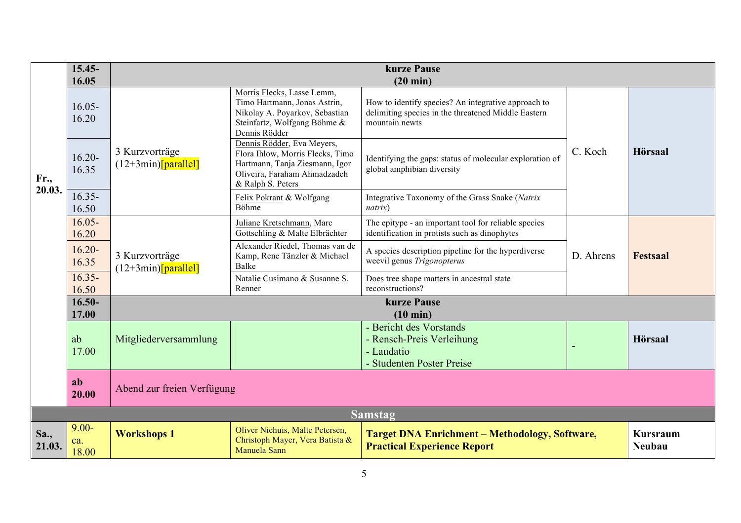|                | $15.45 -$<br>16.05       | kurze Pause<br>$(20 \text{ min})$        |                                                                                                                                                       |                                                                                                                              |           |                                  |  |
|----------------|--------------------------|------------------------------------------|-------------------------------------------------------------------------------------------------------------------------------------------------------|------------------------------------------------------------------------------------------------------------------------------|-----------|----------------------------------|--|
| Fr.,           | $16.05 -$<br>16.20       |                                          | Morris Flecks, Lasse Lemm,<br>Timo Hartmann, Jonas Astrin,<br>Nikolay A. Poyarkov, Sebastian<br>Steinfartz, Wolfgang Böhme &<br>Dennis Rödder         | How to identify species? An integrative approach to<br>delimiting species in the threatened Middle Eastern<br>mountain newts |           |                                  |  |
|                | $16.20 -$<br>16.35       | 3 Kurzvorträge<br>$(12+3min)$ [parallel] | Dennis Rödder, Eva Meyers,<br>Flora Ihlow, Morris Flecks, Timo<br>Hartmann, Tanja Ziesmann, Igor<br>Oliveira, Faraham Ahmadzadeh<br>& Ralph S. Peters | Identifying the gaps: status of molecular exploration of<br>global amphibian diversity                                       | C. Koch   | <b>Hörsaal</b>                   |  |
| 20.03.         | $16.35 -$<br>16.50       |                                          | Felix Pokrant & Wolfgang<br>Böhme                                                                                                                     | Integrative Taxonomy of the Grass Snake (Natrix<br>natrix)                                                                   |           |                                  |  |
|                | $16.05 -$<br>16.20       | 3 Kurzvorträge<br>$(12+3min)$ [parallel] | Juliane Kretschmann, Marc<br>Gottschling & Malte Elbrächter                                                                                           | The epitype - an important tool for reliable species<br>identification in protists such as dinophytes                        | D. Ahrens |                                  |  |
|                | $16.20 -$<br>16.35       |                                          | Alexander Riedel, Thomas van de<br>Kamp, Rene Tänzler & Michael<br><b>Balke</b>                                                                       | A species description pipeline for the hyperdiverse<br>weevil genus Trigonopterus                                            |           | <b>Festsaal</b>                  |  |
|                | $16.35 -$<br>16.50       |                                          | Natalie Cusimano & Susanne S.<br>Renner                                                                                                               | Does tree shape matters in ancestral state<br>reconstructions?                                                               |           |                                  |  |
|                | $16.50 -$<br>17.00       |                                          | kurze Pause<br>(10 min)                                                                                                                               |                                                                                                                              |           |                                  |  |
|                | ab<br>17.00              | Mitgliederversammlung                    |                                                                                                                                                       | - Bericht des Vorstands<br>- Rensch-Preis Verleihung<br>- Laudatio<br>- Studenten Poster Preise                              |           | <b>Hörsaal</b>                   |  |
|                | ab<br>20.00              | Abend zur freien Verfügung               |                                                                                                                                                       |                                                                                                                              |           |                                  |  |
|                |                          |                                          |                                                                                                                                                       | <b>Samstag</b>                                                                                                               |           |                                  |  |
| Sa.,<br>21.03. | $9.00 -$<br>ca.<br>18.00 | <b>Workshops 1</b>                       | Oliver Niehuis, Malte Petersen,<br>Christoph Mayer, Vera Batista &<br>Manuela Sann                                                                    | <b>Target DNA Enrichment - Methodology, Software,</b><br><b>Practical Experience Report</b>                                  |           | <b>Kursraum</b><br><b>Neubau</b> |  |